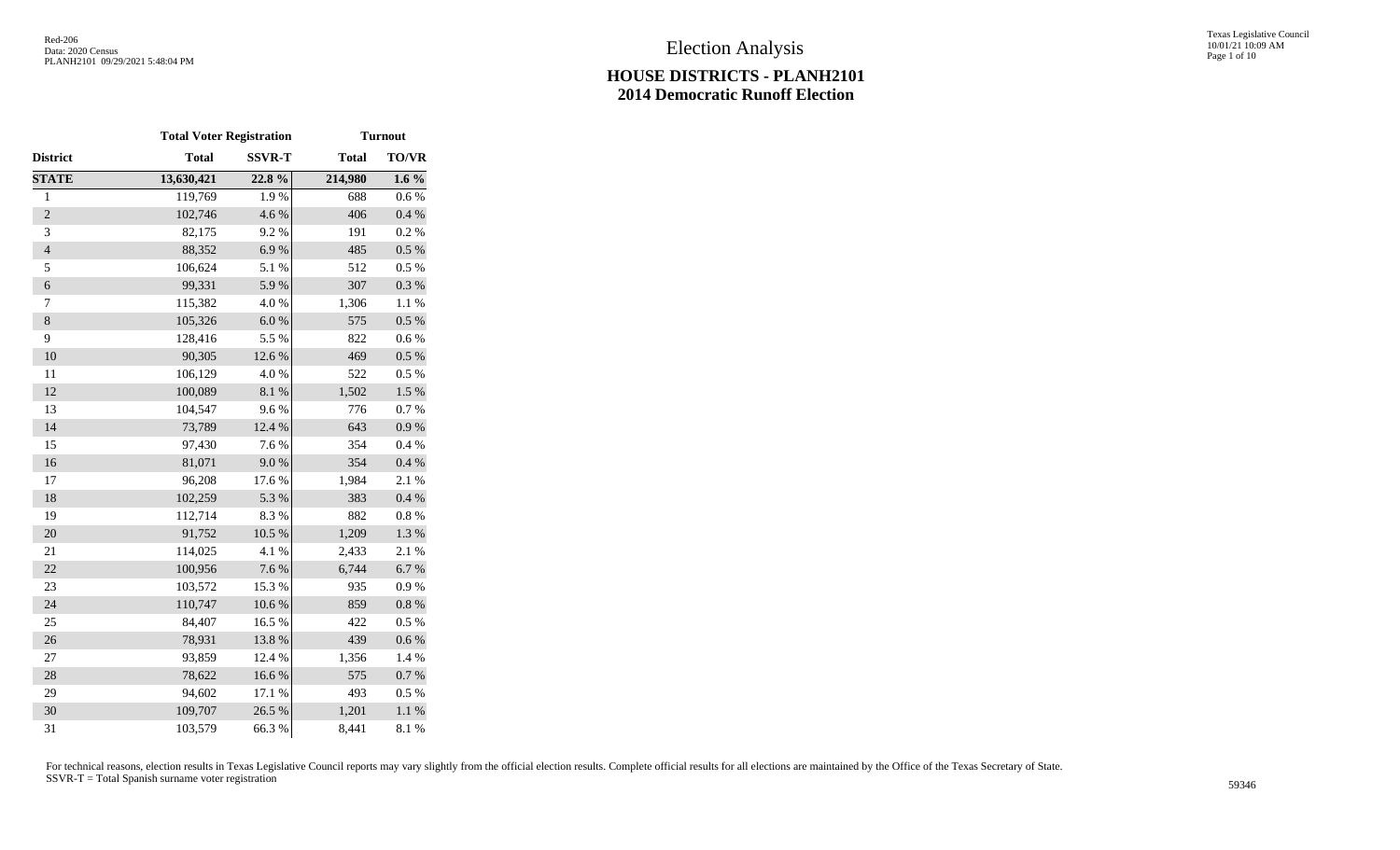|                | <b>Total Voter Registration</b> |               | <b>Turnout</b> |              |  |  |
|----------------|---------------------------------|---------------|----------------|--------------|--|--|
| District       | <b>Total</b>                    | <b>SSVR-T</b> | <b>Total</b>   | <b>TO/VR</b> |  |  |
| <b>STATE</b>   | 13,630,421                      | 22.8%         | 214,980        | $1.6\%$      |  |  |
| $\mathbf{1}$   | 119,769                         | 1.9%          | 688            | 0.6%         |  |  |
| $\overline{c}$ | 102,746                         | 4.6 %         | 406            | 0.4 %        |  |  |
| 3              | 82,175                          | 9.2%          | 191            | 0.2 %        |  |  |
| $\overline{4}$ | 88,352                          | 6.9%          | 485            | $0.5~\%$     |  |  |
| 5              | 106,624                         | 5.1 %         | 512            | 0.5 %        |  |  |
| $\epsilon$     | 99,331                          | 5.9%          | 307            | $0.3~\%$     |  |  |
| $\tau$         | 115,382                         | 4.0%          | 1,306          | 1.1 %        |  |  |
| $\,8\,$        | 105,326                         | 6.0 %         | 575            | 0.5 %        |  |  |
| 9              | 128,416                         | 5.5 %         | 822            | 0.6%         |  |  |
| 10             | 90,305                          | 12.6 %        | 469            | 0.5 %        |  |  |
| 11             | 106,129                         | 4.0%          | 522            | 0.5 %        |  |  |
| 12             | 100,089                         | $8.1~\%$      | 1,502          | 1.5 %        |  |  |
| 13             | 104,547                         | 9.6%          | 776            | 0.7%         |  |  |
| 14             | 73,789                          | 12.4 %        | 643            | 0.9 %        |  |  |
| 15             | 97,430                          | 7.6%          | 354            | 0.4 %        |  |  |
| 16             | 81,071                          | 9.0%          | 354            | $0.4~\%$     |  |  |
| 17             | 96,208                          | 17.6 %        | 1,984          | 2.1 %        |  |  |
| 18             | 102,259                         | 5.3 %         | 383            | 0.4 %        |  |  |
| 19             | 112,714                         | 8.3 %         | 882            | $0.8~\%$     |  |  |
| 20             | 91,752                          | 10.5 %        | 1,209          | 1.3 %        |  |  |
| 21             | 114,025                         | 4.1 %         | 2,433          | 2.1%         |  |  |
| 22             | 100,956                         | 7.6 %         | 6,744          | 6.7%         |  |  |
| 23             | 103,572                         | 15.3 %        | 935            | 0.9%         |  |  |
| 24             | 110,747                         | $10.6~\%$     | 859            | $0.8~\%$     |  |  |
| 25             | 84,407                          | 16.5 %        | 422            | 0.5%         |  |  |
| 26             | 78,931                          | 13.8%         | 439            | $0.6\ \%$    |  |  |
| 27             | 93,859                          | 12.4 %        | 1,356          | 1.4 %        |  |  |
| 28             | 78,622                          | 16.6%         | 575            | 0.7 %        |  |  |
| 29             | 94,602                          | 17.1 %        | 493            | 0.5%         |  |  |
| 30             | 109,707                         | 26.5 %        | 1,201          | $1.1~\%$     |  |  |
| 31             | 103,579                         | 66.3%         | 8,441          | 8.1 %        |  |  |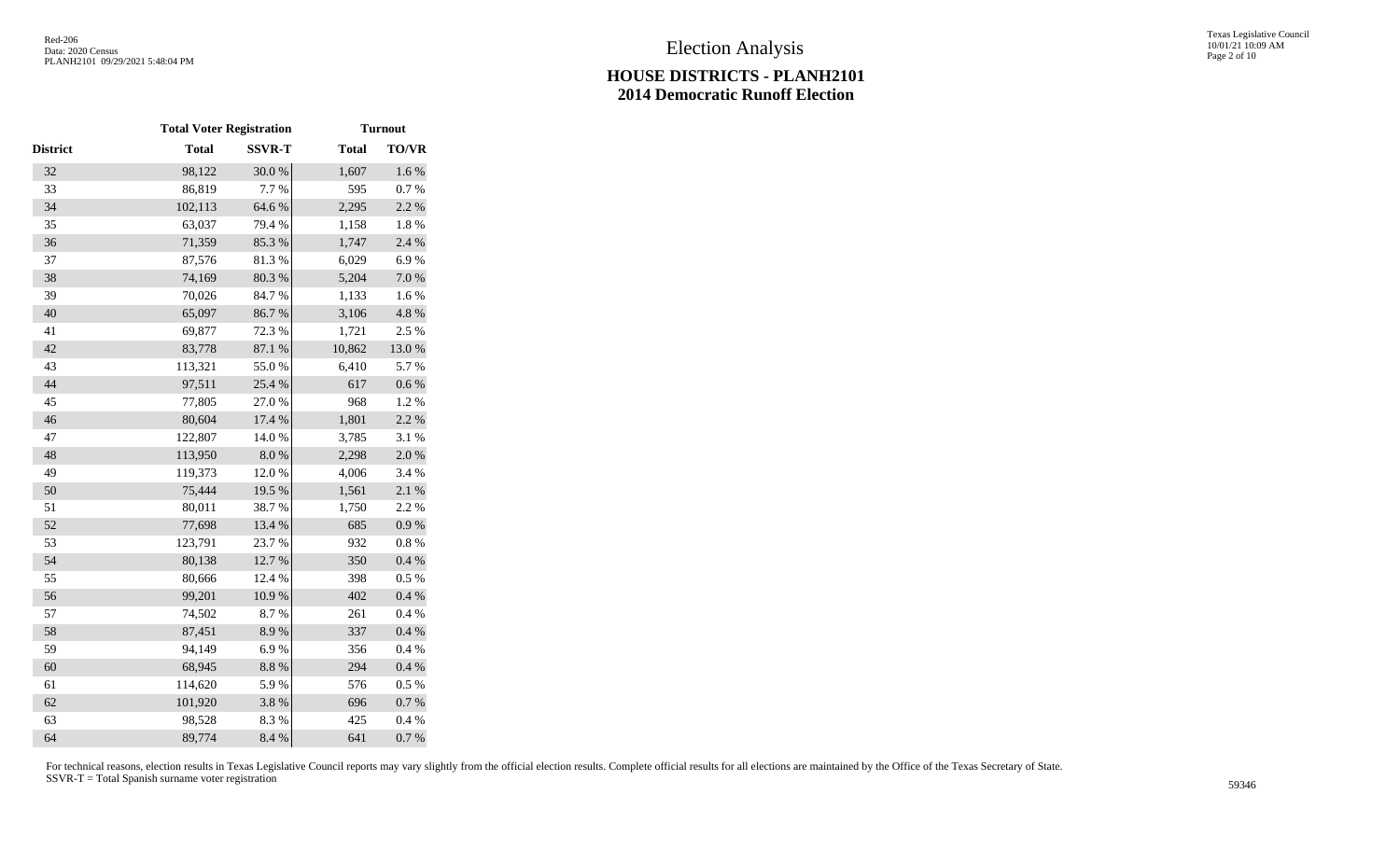|                 | <b>Total Voter Registration</b> |               | <b>Turnout</b> |              |  |
|-----------------|---------------------------------|---------------|----------------|--------------|--|
| <b>District</b> | <b>Total</b>                    | <b>SSVR-T</b> | <b>Total</b>   | <b>TO/VR</b> |  |
| 32              | 98,122                          | 30.0%         | 1,607          | 1.6 %        |  |
| 33              | 86,819                          | 7.7 %         | 595            | 0.7 %        |  |
| 34              | 102,113                         | 64.6 %        | 2,295          | 2.2 %        |  |
| 35              | 63,037                          | 79.4 %        | 1,158          | 1.8%         |  |
| 36              | 71,359                          | 85.3%         | 1,747          | 2.4 %        |  |
| 37              | 87,576                          | 81.3%         | 6,029          | 6.9%         |  |
| 38              | 74,169                          | 80.3 %        | 5,204          | $7.0\ \%$    |  |
| 39              | 70,026                          | 84.7%         | 1,133          | 1.6 %        |  |
| 40              | 65,097                          | 86.7%         | 3,106          | 4.8 %        |  |
| 41              | 69,877                          | 72.3 %        | 1,721          | 2.5 %        |  |
| 42              | 83,778                          | 87.1 %        | 10,862         | $13.0\ \%$   |  |
| 43              | 113,321                         | 55.0%         | 6,410          | 5.7%         |  |
| 44              | 97,511                          | 25.4 %        | 617            | $0.6\ \%$    |  |
| 45              | 77,805                          | 27.0%         | 968            | 1.2%         |  |
| 46              | 80,604                          | 17.4 %        | 1,801          | 2.2 %        |  |
| 47              | 122,807                         | 14.0%         | 3,785          | 3.1 %        |  |
| 48              | 113,950                         | $8.0\ \%$     | 2,298          | 2.0%         |  |
| 49              | 119,373                         | 12.0%         | 4,006          | 3.4 %        |  |
| 50              | 75,444                          | 19.5 %        | 1,561          | 2.1%         |  |
| 51              | 80,011                          | 38.7%         | 1,750          | 2.2 %        |  |
| 52              | 77,698                          | 13.4 %        | 685            | $0.9\ \%$    |  |
| 53              | 123,791                         | 23.7%         | 932            | 0.8 %        |  |
| 54              | 80,138                          | 12.7%         | 350            | 0.4 %        |  |
| 55              | 80,666                          | 12.4 %        | 398            | $0.5~\%$     |  |
| 56              | 99,201                          | $10.9\ \%$    | 402            | 0.4 %        |  |
| 57              | 74,502                          | 8.7%          | 261            | 0.4 %        |  |
| 58              | 87,451                          | 8.9%          | 337            | 0.4 %        |  |
| 59              | 94,149                          | 6.9%          | 356            | 0.4%         |  |
| 60              | 68,945                          | $8.8~\%$      | 294            | 0.4 %        |  |
| 61              | 114,620                         | 5.9%          | 576            | 0.5 %        |  |
| 62              | 101,920                         | 3.8 %         | 696            | $0.7~\%$     |  |
| 63              | 98,528                          | 8.3 %         | 425            | 0.4 %        |  |
| 64              | 89,774                          | 8.4 %         | 641            | 0.7 %        |  |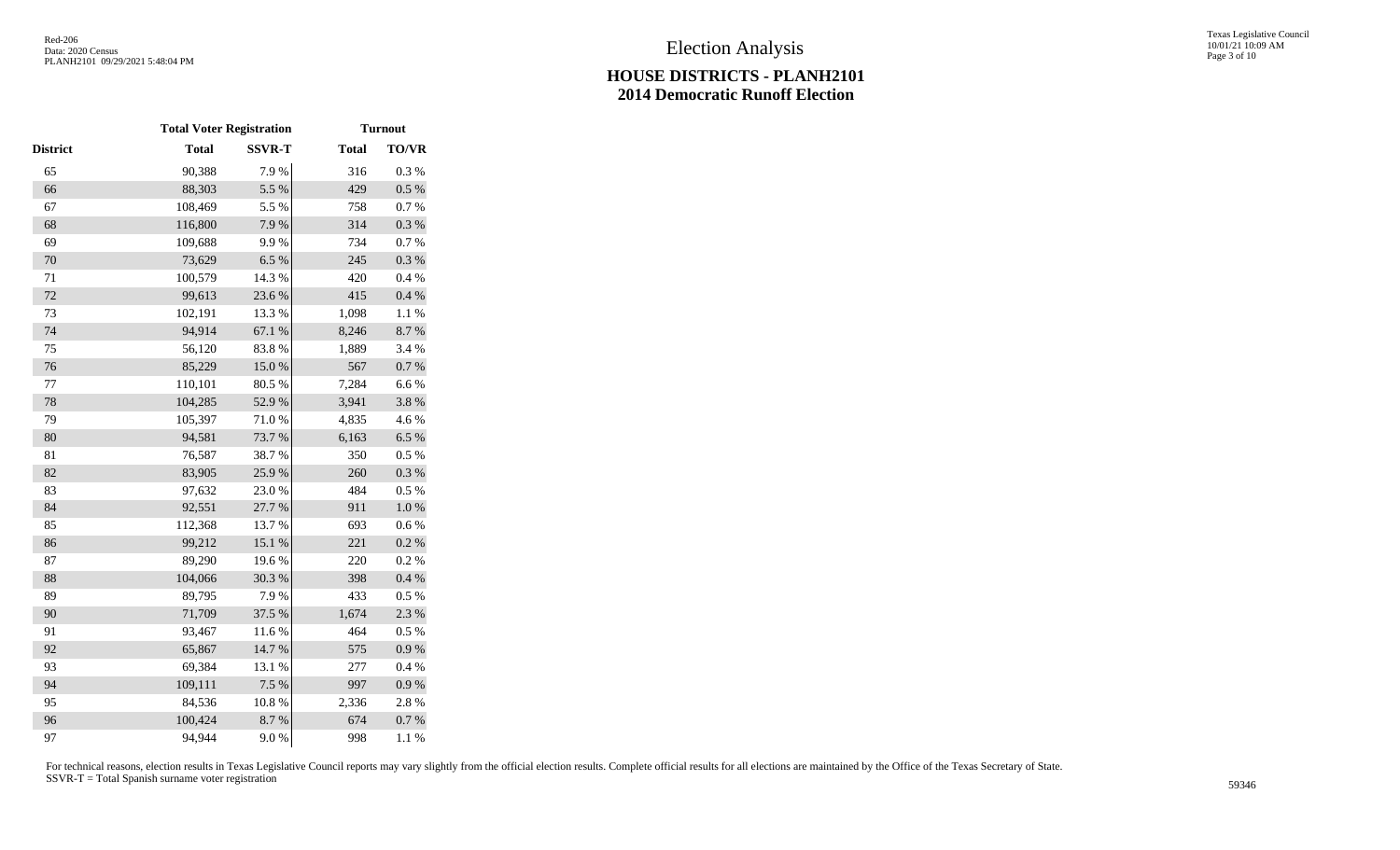|          | <b>Total Voter Registration</b> |               | <b>Turnout</b> |              |  |
|----------|---------------------------------|---------------|----------------|--------------|--|
| District | <b>Total</b>                    | <b>SSVR-T</b> | <b>Total</b>   | <b>TO/VR</b> |  |
| 65       | 90,388                          | 7.9%          | 316            | 0.3%         |  |
| 66       | 88,303                          | 5.5 %         | 429            | $0.5~\%$     |  |
| 67       | 108,469                         | 5.5 %         | 758            | $0.7~\%$     |  |
| 68       | 116,800                         | 7.9%          | 314            | $0.3~\%$     |  |
| 69       | 109,688                         | 9.9%          | 734            | 0.7 %        |  |
| 70       | 73,629                          | 6.5%          | 245            | 0.3 %        |  |
| 71       | 100,579                         | 14.3 %        | 420            | 0.4 %        |  |
| 72       | 99,613                          | 23.6 %        | 415            | $0.4~\%$     |  |
| 73       | 102,191                         | 13.3 %        | 1,098          | 1.1 %        |  |
| 74       | 94,914                          | 67.1 %        | 8,246          | 8.7%         |  |
| 75       | 56,120                          | 83.8%         | 1,889          | 3.4 %        |  |
| 76       | 85,229                          | $15.0\ \%$    | 567            | 0.7 %        |  |
| 77       | 110,101                         | 80.5 %        | 7,284          | 6.6%         |  |
| 78       | 104,285                         | 52.9%         | 3,941          | 3.8%         |  |
| 79       | 105,397                         | 71.0%         | 4,835          | 4.6%         |  |
| 80       | 94,581                          | 73.7%         | 6,163          | 6.5 %        |  |
| 81       | 76,587                          | 38.7%         | 350            | 0.5 %        |  |
| 82       | 83,905                          | 25.9%         | 260            | $0.3~\%$     |  |
| 83       | 97,632                          | 23.0%         | 484            | 0.5%         |  |
| 84       | 92,551                          | 27.7 %        | 911            | $1.0\ \%$    |  |
| 85       | 112,368                         | 13.7%         | 693            | 0.6 %        |  |
| 86       | 99,212                          | 15.1 %        | 221            | 0.2 %        |  |
| 87       | 89,290                          | 19.6%         | 220            | 0.2 %        |  |
| 88       | 104,066                         | 30.3 %        | 398            | 0.4 %        |  |
| 89       | 89,795                          | 7.9%          | 433            | 0.5 %        |  |
| 90       | 71,709                          | 37.5 %        | 1,674          | 2.3 %        |  |
| 91       | 93,467                          | 11.6%         | 464            | 0.5%         |  |
| 92       | 65,867                          | 14.7%         | 575            | 0.9 %        |  |
| 93       | 69,384                          | 13.1 %        | 277            | 0.4%         |  |
| 94       | 109,111                         | 7.5 %         | 997            | 0.9 %        |  |
| 95       | 84,536                          | 10.8 %        | 2,336          | 2.8%         |  |
| 96       | 100,424                         | 8.7%          | 674            | 0.7 %        |  |
| 97       | 94,944                          | 9.0%          | 998            | 1.1%         |  |
|          |                                 |               |                |              |  |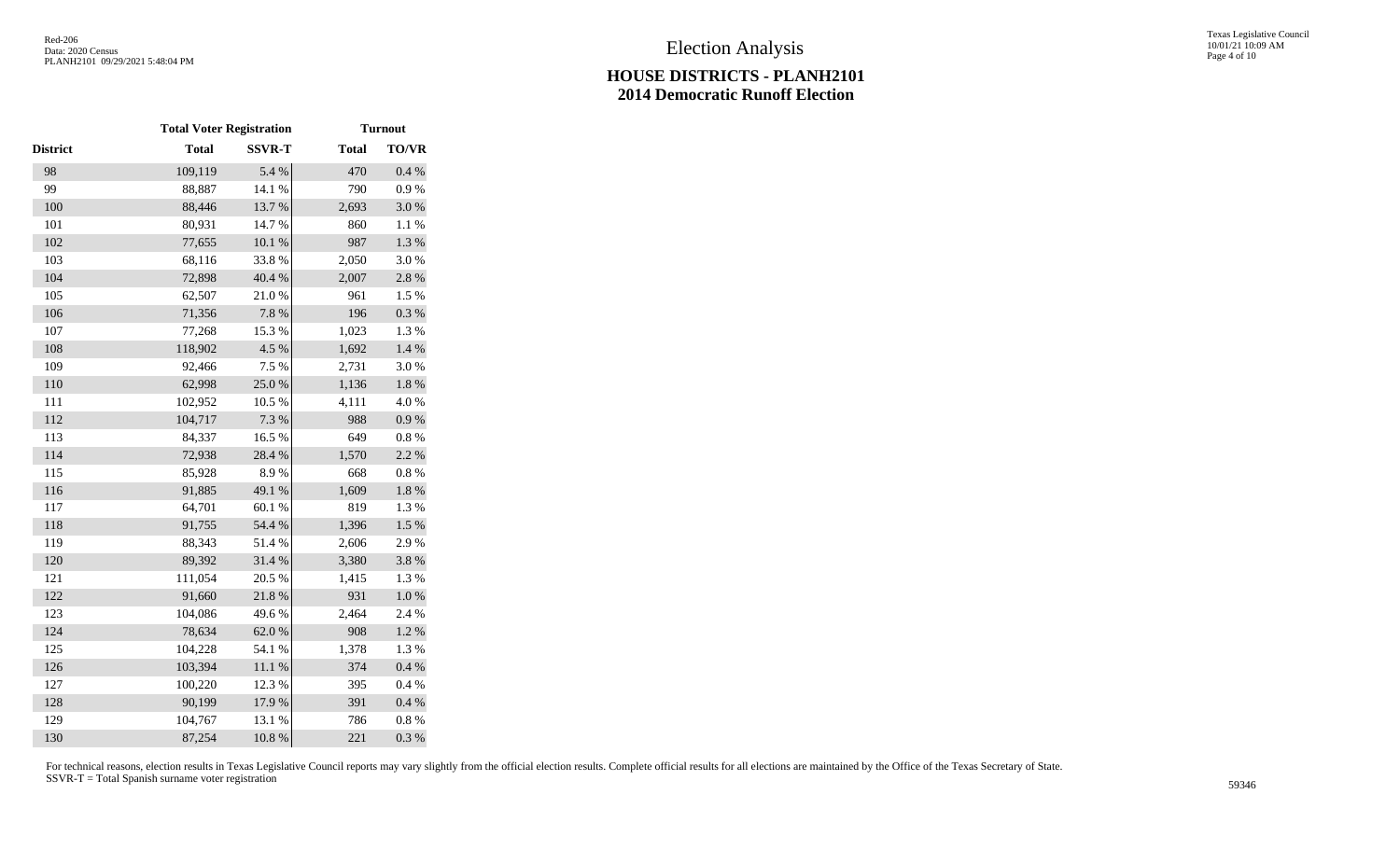|                 | <b>Total Voter Registration</b> |               | <b>Turnout</b> |              |  |
|-----------------|---------------------------------|---------------|----------------|--------------|--|
| <b>District</b> | <b>Total</b>                    | <b>SSVR-T</b> | <b>Total</b>   | <b>TO/VR</b> |  |
| 98              | 109,119                         | 5.4 %         | 470            | 0.4 %        |  |
| 99              | 88,887                          | 14.1 %        | 790            | 0.9%         |  |
| 100             | 88,446                          | 13.7 %        | 2,693          | 3.0%         |  |
| 101             | 80,931                          | 14.7%         | 860            | 1.1%         |  |
| 102             | 77,655                          | $10.1~\%$     | 987            | 1.3 %        |  |
| 103             | 68,116                          | 33.8%         | 2,050          | 3.0%         |  |
| 104             | 72,898                          | 40.4 %        | 2,007          | $2.8\ \%$    |  |
| 105             | 62,507                          | 21.0%         | 961            | 1.5 %        |  |
| 106             | 71,356                          | 7.8 %         | 196            | 0.3 %        |  |
| 107             | 77,268                          | 15.3 %        | 1,023          | 1.3%         |  |
| 108             | 118,902                         | 4.5 %         | 1,692          | 1.4 %        |  |
| 109             | 92,466                          | 7.5 %         | 2,731          | 3.0%         |  |
| 110             | 62,998                          | 25.0%         | 1,136          | $1.8~\%$     |  |
| 111             | 102,952                         | 10.5 %        | 4,111          | 4.0%         |  |
| 112             | 104,717                         | 7.3 %         | 988            | $0.9\ \%$    |  |
| 113             | 84,337                          | 16.5 %        | 649            | 0.8%         |  |
| 114             | 72,938                          | 28.4 %        | 1,570          | 2.2 %        |  |
| 115             | 85,928                          | 8.9%          | 668            | $0.8~\%$     |  |
| 116             | 91,885                          | 49.1 %        | 1,609          | $1.8\ \%$    |  |
| 117             | 64,701                          | 60.1%         | 819            | 1.3 %        |  |
| 118             | 91,755                          | 54.4 %        | 1,396          | $1.5~\%$     |  |
| 119             | 88,343                          | 51.4%         | 2,606          | 2.9%         |  |
| 120             | 89,392                          | 31.4 %        | 3,380          | 3.8%         |  |
| 121             | 111,054                         | 20.5 %        | 1,415          | 1.3%         |  |
| 122             | 91,660                          | 21.8 %        | 931            | $1.0\ \%$    |  |
| 123             | 104,086                         | 49.6%         | 2,464          | 2.4 %        |  |
| 124             | 78,634                          | 62.0%         | 908            | $1.2~\%$     |  |
| 125             | 104,228                         | 54.1 %        | 1,378          | 1.3%         |  |
| 126             | 103,394                         | $11.1\ \%$    | 374            | 0.4 %        |  |
| 127             | 100,220                         | 12.3 %        | 395            | $0.4~\%$     |  |
| 128             | 90,199                          | 17.9%         | 391            | 0.4 %        |  |
| 129             | 104,767                         | 13.1 %        | 786            | $0.8~\%$     |  |
| 130             | 87,254                          | 10.8 %        | 221            | 0.3 %        |  |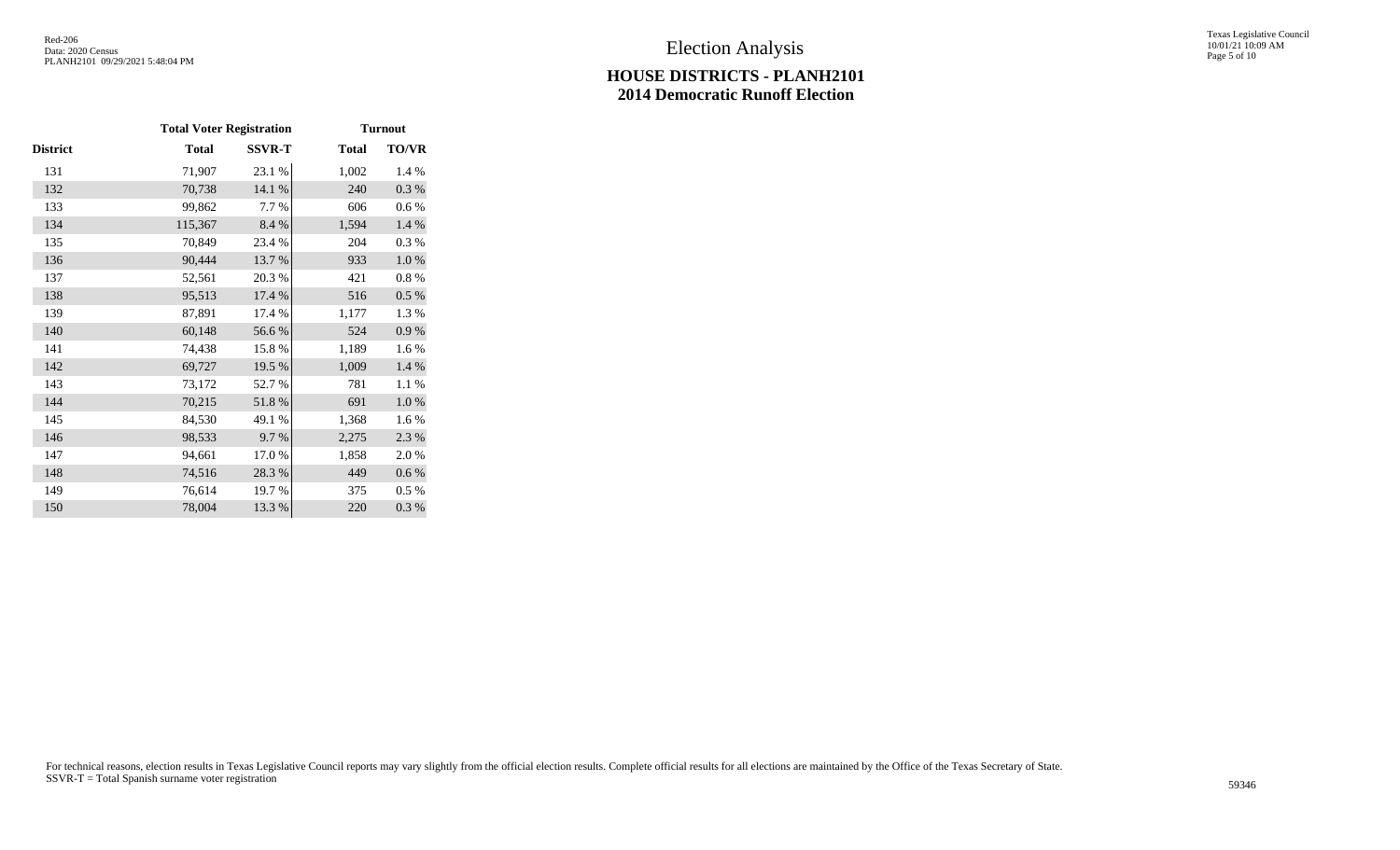|          | <b>Total Voter Registration</b> |               | <b>Turnout</b> |           |  |
|----------|---------------------------------|---------------|----------------|-----------|--|
| District | <b>Total</b>                    | <b>SSVR-T</b> | <b>Total</b>   | TO/VR     |  |
| 131      | 71,907                          | 23.1 %        | 1,002          | 1.4 %     |  |
| 132      | 70,738                          | 14.1 %        | 240            | 0.3 %     |  |
| 133      | 99,862                          | 7.7 %         | 606            | 0.6 %     |  |
| 134      | 115,367                         | 8.4 %         | 1,594          | 1.4 %     |  |
| 135      | 70,849                          | 23.4 %        | 204            | 0.3%      |  |
| 136      | 90,444                          | 13.7 %        | 933            | 1.0%      |  |
| 137      | 52,561                          | 20.3 %        | 421            | $0.8\ \%$ |  |
| 138      | 95,513                          | 17.4 %        | 516            | 0.5 %     |  |
| 139      | 87,891                          | 17.4 %        | 1,177          | 1.3 %     |  |
| 140      | 60,148                          | 56.6%         | 524            | 0.9 %     |  |
| 141      | 74,438                          | 15.8%         | 1,189          | 1.6%      |  |
| 142      | 69,727                          | 19.5 %        | 1,009          | 1.4 %     |  |
| 143      | 73,172                          | 52.7%         | 781            | 1.1 %     |  |
| 144      | 70,215                          | 51.8%         | 691            | 1.0%      |  |
| 145      | 84,530                          | 49.1 %        | 1,368          | 1.6 %     |  |
| 146      | 98,533                          | 9.7%          | 2,275          | 2.3 %     |  |
| 147      | 94,661                          | 17.0%         | 1,858          | 2.0%      |  |
| 148      | 74,516                          | 28.3%         | 449            | $0.6\,\%$ |  |
| 149      | 76,614                          | 19.7 %        | 375            | $0.5\%$   |  |
| 150      | 78,004                          | 13.3 %        | 220            | 0.3%      |  |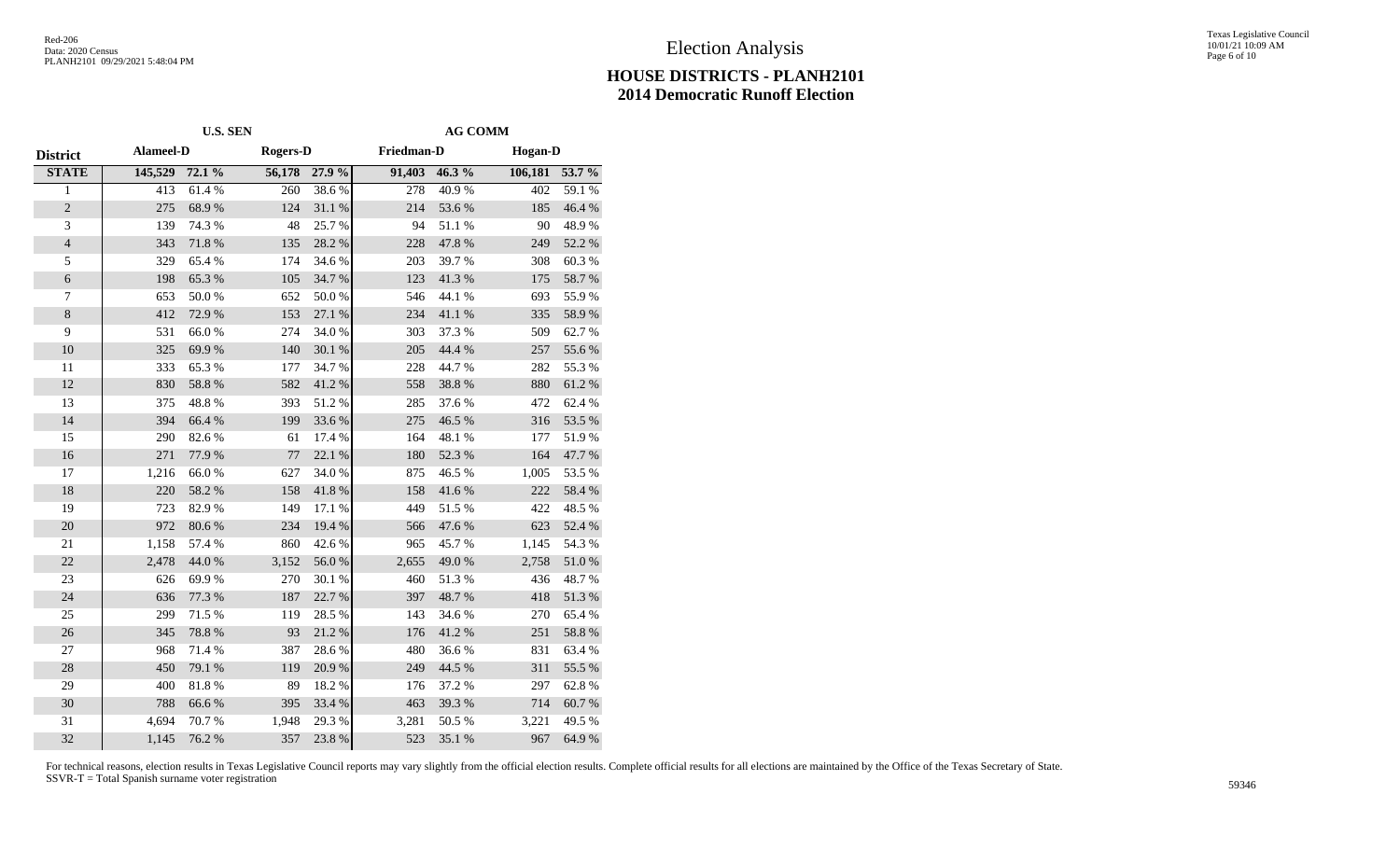#### Texas Legislative Council 10/01/21 10:09 AM Page 6 of 10

# **HOUSE DISTRICTS - PLANH2101 2014 Democratic Runoff Election**

|                 | <b>U.S. SEN</b>  |        |                 |        | <b>AG COMM</b> |            |                |            |
|-----------------|------------------|--------|-----------------|--------|----------------|------------|----------------|------------|
| <b>District</b> | <b>Alameel-D</b> |        | <b>Rogers-D</b> |        | Friedman-D     |            | <b>Hogan-D</b> |            |
| <b>STATE</b>    | 145,529          | 72.1 % | 56,178          | 27.9 % | 91,403         | 46.3%      | 106,181        | 53.7 %     |
| 1               | 413              | 61.4%  | 260             | 38.6%  | 278            | 40.9%      | 402            | 59.1%      |
| $\sqrt{2}$      | 275              | 68.9%  | 124             | 31.1 % | 214            | 53.6%      | 185            | 46.4 %     |
| 3               | 139              | 74.3 % | 48              | 25.7%  | 94             | 51.1%      | 90             | 48.9%      |
| $\sqrt{4}$      | 343              | 71.8 % | 135             | 28.2 % | 228            | 47.8%      | 249            | 52.2 %     |
| $\sqrt{5}$      | 329              | 65.4%  | 174             | 34.6 % | 203            | 39.7%      | 308            | 60.3%      |
| $\epsilon$      | 198              | 65.3%  | 105             | 34.7 % | 123            | 41.3 %     | 175            | 58.7 %     |
| 7               | 653              | 50.0%  | 652             | 50.0%  | 546            | 44.1 %     | 693            | 55.9%      |
| $8\,$           | 412              | 72.9%  | 153             | 27.1 % | 234            | $41.1\ \%$ | 335            | 58.9%      |
| 9               | 531              | 66.0%  | 274             | 34.0%  | 303            | 37.3 %     | 509            | 62.7%      |
| 10              | 325              | 69.9%  | 140             | 30.1 % | 205            | 44.4 %     | 257            | 55.6 %     |
| 11              | 333              | 65.3%  | 177             | 34.7%  | 228            | 44.7%      | 282            | 55.3%      |
| 12              | 830              | 58.8%  | 582             | 41.2%  | 558            | 38.8%      | 880            | 61.2%      |
| 13              | 375              | 48.8%  | 393             | 51.2%  | 285            | 37.6%      | 472            | 62.4 %     |
| 14              | 394              | 66.4 % | 199             | 33.6%  | 275            | 46.5%      | 316            | 53.5 %     |
| 15              | 290              | 82.6%  | 61              | 17.4 % | 164            | 48.1 %     | 177            | 51.9%      |
| 16              | 271              | 77.9%  | 77              | 22.1 % | 180            | 52.3 %     | 164            | 47.7%      |
| 17              | 1,216            | 66.0%  | 627             | 34.0%  | 875            | 46.5 %     | 1,005          | 53.5 %     |
| 18              | 220              | 58.2 % | 158             | 41.8%  | 158            | 41.6%      | 222            | 58.4 %     |
| 19              | 723              | 82.9%  | 149             | 17.1 % | 449            | 51.5%      | 422            | 48.5 %     |
| 20              | 972              | 80.6%  | 234             | 19.4 % | 566            | 47.6%      | 623            | 52.4 %     |
| 21              | 1,158            | 57.4 % | 860             | 42.6 % | 965            | 45.7%      | 1,145          | 54.3 %     |
| $22\,$          | 2,478            | 44.0 % | 3,152           | 56.0%  | 2,655          | 49.0%      | 2,758          | $51.0\ \%$ |
| 23              | 626              | 69.9%  | 270             | 30.1 % | 460            | 51.3%      | 436            | 48.7%      |
| 24              | 636              | 77.3 % | 187             | 22.7 % | 397            | 48.7%      | 418            | 51.3%      |
| 25              | 299              | 71.5 % | 119             | 28.5 % | 143            | 34.6 %     | 270            | 65.4%      |
| 26              | 345              | 78.8%  | 93              | 21.2%  | 176            | 41.2%      | 251            | 58.8 %     |
| 27              | 968              | 71.4 % | 387             | 28.6%  | 480            | 36.6%      | 831            | 63.4 %     |
| 28              | 450              | 79.1 % | 119             | 20.9%  | 249            | 44.5 %     | 311            | 55.5 %     |
| 29              | 400              | 81.8 % | 89              | 18.2 % | 176            | 37.2 %     | 297            | 62.8%      |
| 30              | 788              | 66.6%  | 395             | 33.4 % | 463            | 39.3 %     | 714            | 60.7%      |
| 31              | 4,694            | 70.7%  | 1,948           | 29.3 % | 3,281          | 50.5 %     | 3,221          | 49.5 %     |
| 32              | 1,145            | 76.2 % | 357             | 23.8%  | 523            | 35.1 %     | 967            | 64.9%      |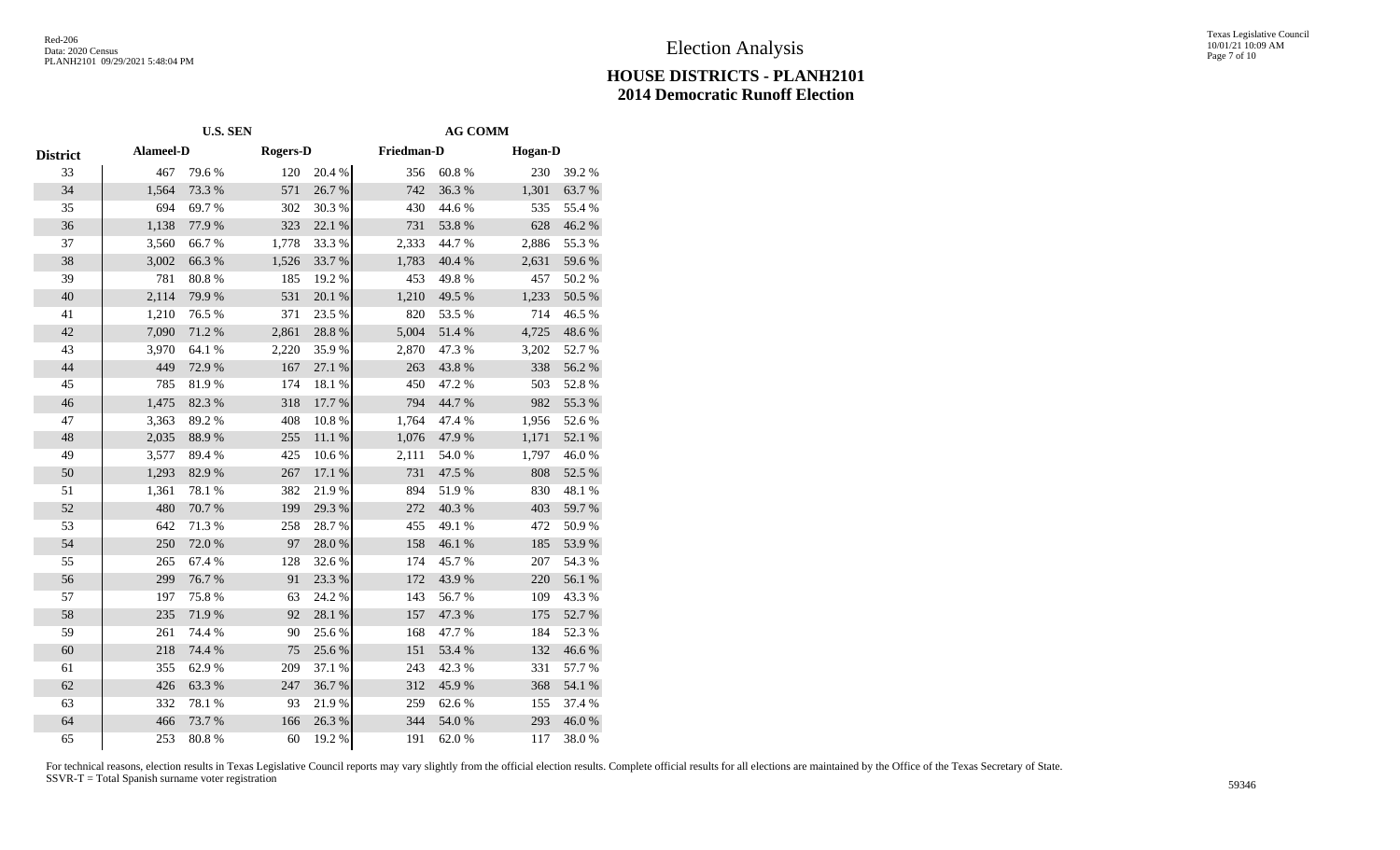#### Texas Legislative Council 10/01/21 10:09 AM Page 7 of 10

# **HOUSE DISTRICTS - PLANH2101 2014 Democratic Runoff Election**

|                 | <b>U.S. SEN</b>  |        |                 |        | <b>AG COMM</b> |        |                |        |  |
|-----------------|------------------|--------|-----------------|--------|----------------|--------|----------------|--------|--|
| <b>District</b> | <b>Alameel-D</b> |        | <b>Rogers-D</b> |        | Friedman-D     |        | <b>Hogan-D</b> |        |  |
| 33              | 467              | 79.6%  | 120             | 20.4 % | 356            | 60.8%  | 230            | 39.2%  |  |
| 34              | 1,564            | 73.3 % | 571             | 26.7%  | 742            | 36.3%  | 1,301          | 63.7%  |  |
| 35              | 694              | 69.7%  | 302             | 30.3%  | 430            | 44.6 % | 535            | 55.4 % |  |
| 36              | 1,138            | 77.9 % | 323             | 22.1 % | 731            | 53.8%  | 628            | 46.2%  |  |
| 37              | 3,560            | 66.7%  | 1,778           | 33.3%  | 2,333          | 44.7%  | 2,886          | 55.3 % |  |
| 38              | 3,002            | 66.3%  | 1,526           | 33.7%  | 1,783          | 40.4 % | 2,631          | 59.6%  |  |
| 39              | 781              | 80.8%  | 185             | 19.2 % | 453            | 49.8%  | 457            | 50.2%  |  |
| 40              | 2,114            | 79.9%  | 531             | 20.1 % | 1,210          | 49.5 % | 1,233          | 50.5 % |  |
| 41              | 1,210            | 76.5 % | 371             | 23.5 % | 820            | 53.5 % | 714            | 46.5 % |  |
| 42              | 7,090            | 71.2%  | 2,861           | 28.8%  | 5,004          | 51.4%  | 4,725          | 48.6%  |  |
| 43              | 3,970            | 64.1 % | 2,220           | 35.9%  | 2,870          | 47.3 % | 3,202          | 52.7%  |  |
| 44              | 449              | 72.9 % | 167             | 27.1 % | 263            | 43.8%  | 338            | 56.2 % |  |
| 45              | 785              | 81.9%  | 174             | 18.1%  | 450            | 47.2 % | 503            | 52.8%  |  |
| 46              | 1,475            | 82.3 % | 318             | 17.7 % | 794            | 44.7%  | 982            | 55.3 % |  |
| 47              | 3,363            | 89.2%  | 408             | 10.8%  | 1,764          | 47.4 % | 1,956          | 52.6%  |  |
| 48              | 2,035            | 88.9%  | 255             | 11.1 % | 1,076          | 47.9%  | 1,171          | 52.1 % |  |
| 49              | 3,577            | 89.4%  | 425             | 10.6%  | 2,111          | 54.0 % | 1,797          | 46.0%  |  |
| 50              | 1,293            | 82.9%  | 267             | 17.1 % | 731            | 47.5 % | 808            | 52.5 % |  |
| 51              | 1,361            | 78.1 % | 382             | 21.9%  | 894            | 51.9%  | 830            | 48.1 % |  |
| 52              | 480              | 70.7%  | 199             | 29.3 % | 272            | 40.3%  | 403            | 59.7%  |  |
| 53              | 642              | 71.3%  | 258             | 28.7%  | 455            | 49.1 % | 472            | 50.9%  |  |
| 54              | 250              | 72.0%  | 97              | 28.0%  | 158            | 46.1%  | 185            | 53.9%  |  |
| 55              | 265              | 67.4 % | 128             | 32.6 % | 174            | 45.7%  | 207            | 54.3 % |  |
| 56              | 299              | 76.7%  | 91              | 23.3 % | 172            | 43.9%  | 220            | 56.1 % |  |
| 57              | 197              | 75.8%  | 63              | 24.2 % | 143            | 56.7%  | 109            | 43.3 % |  |
| 58              | 235              | 71.9%  | 92              | 28.1 % | 157            | 47.3 % | 175            | 52.7 % |  |
| 59              | 261              | 74.4 % | 90              | 25.6%  | 168            | 47.7%  | 184            | 52.3 % |  |
| 60              | 218              | 74.4 % | 75              | 25.6%  | 151            | 53.4 % | 132            | 46.6%  |  |
| 61              | 355              | 62.9%  | 209             | 37.1 % | 243            | 42.3 % | 331            | 57.7 % |  |
| 62              | 426              | 63.3%  | 247             | 36.7%  | 312            | 45.9%  | 368            | 54.1 % |  |
| 63              | 332              | 78.1 % | 93              | 21.9%  | 259            | 62.6%  | 155            | 37.4 % |  |
| 64              | 466              | 73.7%  | 166             | 26.3%  | 344            | 54.0 % | 293            | 46.0%  |  |
| 65              | 253              | 80.8%  | 60              | 19.2 % | 191            | 62.0%  | 117            | 38.0%  |  |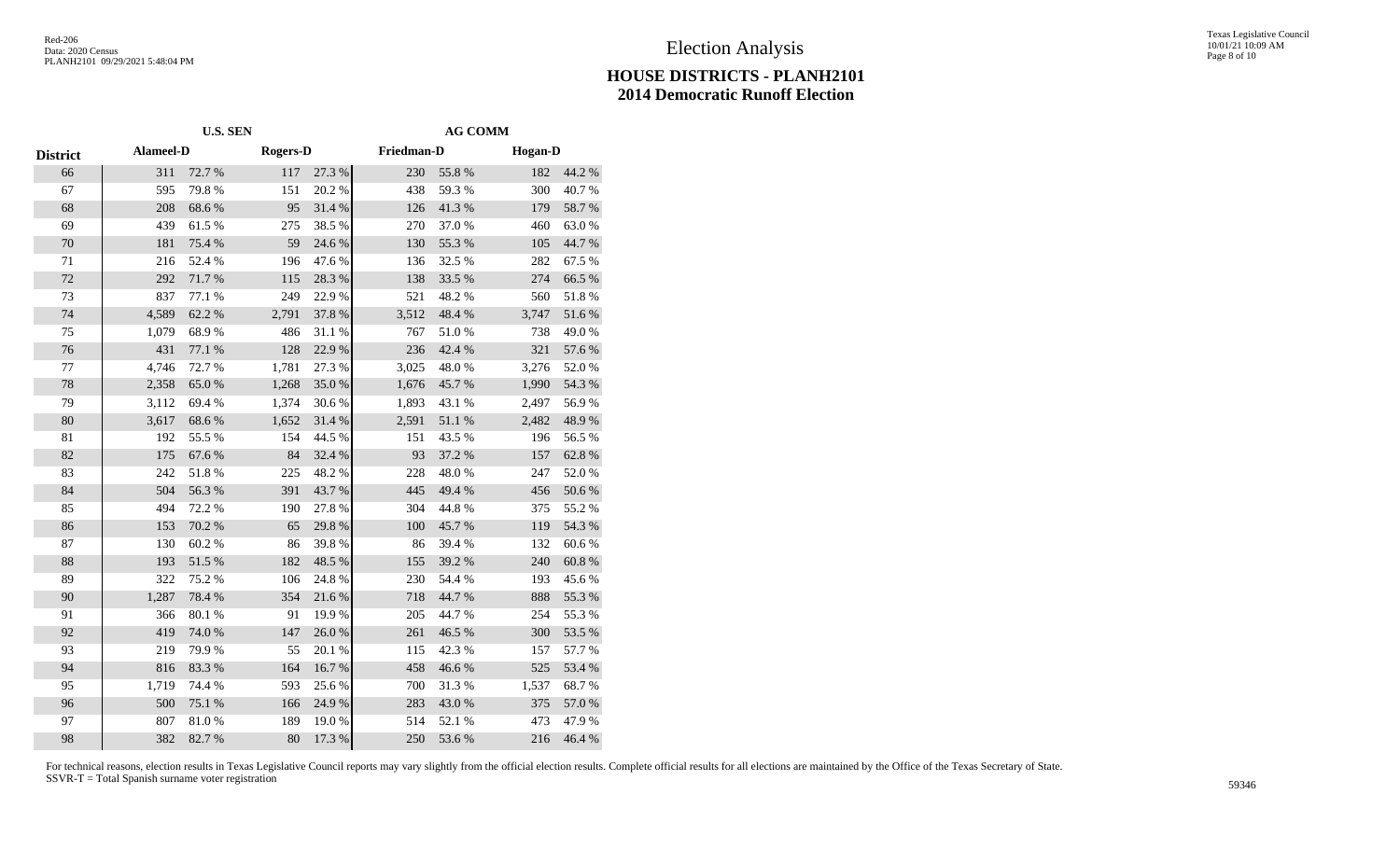#### Texas Legislative Council 10/01/21 10:09 AM Page 8 of 10

# **HOUSE DISTRICTS - PLANH2101 2014 Democratic Runoff Election**

|                 | <b>U.S. SEN</b>  |        |                 |        | <b>AG COMM</b> |            |                |            |  |
|-----------------|------------------|--------|-----------------|--------|----------------|------------|----------------|------------|--|
| <b>District</b> | <b>Alameel-D</b> |        | <b>Rogers-D</b> |        | Friedman-D     |            | <b>Hogan-D</b> |            |  |
| 66              | 311              | 72.7 % | 117             | 27.3 % | 230            | 55.8%      | 182            | 44.2 %     |  |
| 67              | 595              | 79.8%  | 151             | 20.2 % | 438            | 59.3%      | 300            | 40.7%      |  |
| 68              | 208              | 68.6%  | 95              | 31.4%  | 126            | 41.3%      | 179            | 58.7%      |  |
| 69              | 439              | 61.5%  | 275             | 38.5 % | 270            | 37.0%      | 460            | 63.0%      |  |
| 70              | 181              | 75.4 % | 59              | 24.6 % | 130            | 55.3 %     | 105            | 44.7%      |  |
| 71              | 216              | 52.4 % | 196             | 47.6%  | 136            | 32.5 %     | 282            | 67.5 %     |  |
| $72\,$          | 292              | 71.7%  | 115             | 28.3 % | 138            | 33.5 %     | 274            | 66.5 %     |  |
| 73              | 837              | 77.1 % | 249             | 22.9%  | 521            | 48.2%      | 560            | 51.8%      |  |
| 74              | 4,589            | 62.2%  | 2,791           | 37.8 % | 3,512          | 48.4 %     | 3,747          | $51.6\,\%$ |  |
| 75              | 1,079            | 68.9%  | 486             | 31.1 % | 767            | 51.0%      | 738            | 49.0%      |  |
| 76              | 431              | 77.1 % | 128             | 22.9%  | 236            | 42.4 %     | 321            | 57.6 %     |  |
| $77 \,$         | 4,746            | 72.7 % | 1,781           | 27.3 % | 3,025          | 48.0%      | 3,276          | 52.0%      |  |
| 78              | 2,358            | 65.0%  | 1,268           | 35.0%  | 1,676          | 45.7%      | 1,990          | 54.3 %     |  |
| 79              | 3,112            | 69.4%  | 1,374           | 30.6%  | 1,893          | 43.1 %     | 2,497          | 56.9%      |  |
| 80              | 3,617            | 68.6%  | 1,652           | 31.4 % | 2,591          | $51.1\ \%$ | 2,482          | 48.9%      |  |
| 81              | 192              | 55.5 % | 154             | 44.5 % | 151            | 43.5 %     | 196            | 56.5 %     |  |
| 82              | 175              | 67.6%  | 84              | 32.4 % | 93             | 37.2 %     | 157            | 62.8 %     |  |
| 83              | 242              | 51.8%  | 225             | 48.2%  | 228            | 48.0%      | 247            | 52.0%      |  |
| 84              | 504              | 56.3 % | 391             | 43.7%  | 445            | 49.4 %     | 456            | 50.6 %     |  |
| 85              | 494              | 72.2 % | 190             | 27.8 % | 304            | 44.8%      | 375            | 55.2%      |  |
| 86              | 153              | 70.2 % | 65              | 29.8%  | 100            | 45.7%      | 119            | 54.3 %     |  |
| 87              | 130              | 60.2%  | 86              | 39.8%  | 86             | 39.4 %     | 132            | 60.6%      |  |
| 88              | 193              | 51.5 % | 182             | 48.5 % | 155            | 39.2 %     | 240            | $60.8~\%$  |  |
| 89              | 322              | 75.2 % | 106             | 24.8%  | 230            | 54.4 %     | 193            | 45.6%      |  |
| 90              | 1,287            | 78.4%  | 354             | 21.6%  | 718            | 44.7%      | 888            | 55.3 %     |  |
| 91              | 366              | 80.1 % | 91              | 19.9%  | 205            | 44.7%      | 254            | 55.3 %     |  |
| 92              | 419              | 74.0%  | 147             | 26.0%  | 261            | 46.5 %     | 300            | 53.5 %     |  |
| 93              | 219              | 79.9%  | 55              | 20.1 % | 115            | 42.3 %     | 157            | 57.7 %     |  |
| 94              | 816              | 83.3%  | 164             | 16.7%  | 458            | 46.6%      | 525            | 53.4 %     |  |
| 95              | 1,719            | 74.4 % | 593             | 25.6%  | 700            | 31.3%      | 1,537          | 68.7 %     |  |
| 96              | 500              | 75.1 % | 166             | 24.9%  | 283            | 43.0%      | 375            | 57.0 %     |  |
| 97              | 807              | 81.0%  | 189             | 19.0%  | 514            | 52.1 %     | 473            | 47.9%      |  |
| 98              | 382              | 82.7%  | 80              | 17.3 % | 250            | 53.6%      | 216            | 46.4 %     |  |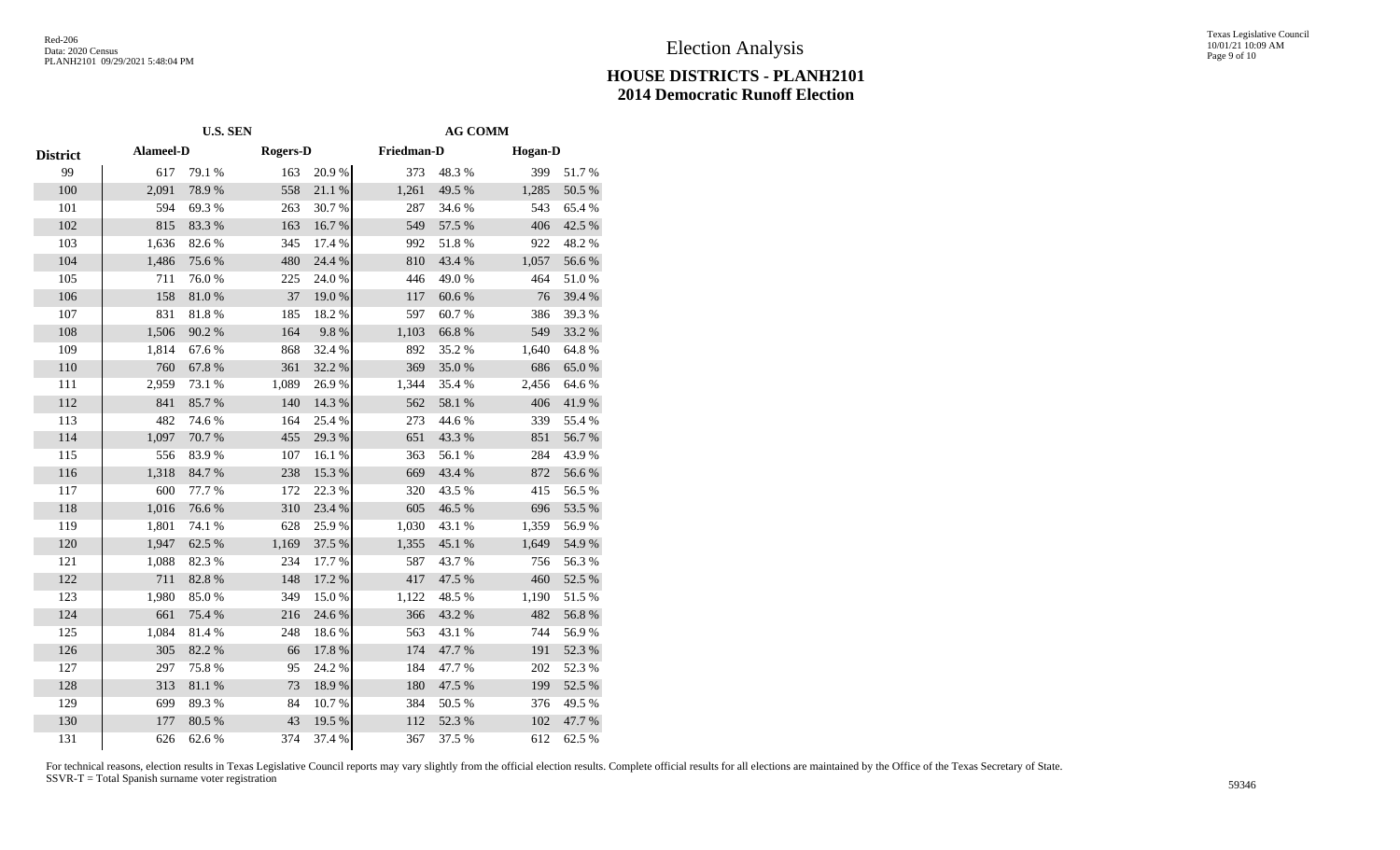#### Texas Legislative Council 10/01/21 10:09 AM Page 9 of 10

# **HOUSE DISTRICTS - PLANH2101 2014 Democratic Runoff Election**

|                 |           | <b>U.S. SEN</b> | <b>AG COMM</b>  |            |            |        |                |        |
|-----------------|-----------|-----------------|-----------------|------------|------------|--------|----------------|--------|
| <b>District</b> | Alameel-D |                 | <b>Rogers-D</b> |            | Friedman-D |        | <b>Hogan-D</b> |        |
| 99              | 617       | 79.1 %          | 163             | 20.9%      | 373        | 48.3%  | 399            | 51.7%  |
| 100             | 2,091     | 78.9%           | 558             | 21.1%      | 1,261      | 49.5 % | 1,285          | 50.5 % |
| 101             | 594       | 69.3%           | 263             | $30.7\;\%$ | 287        | 34.6 % | 543            | 65.4%  |
| 102             | 815       | 83.3%           | 163             | 16.7%      | 549        | 57.5 % | 406            | 42.5 % |
| 103             | 1,636     | 82.6%           | 345             | 17.4 %     | 992        | 51.8%  | 922            | 48.2 % |
| 104             | 1,486     | 75.6%           | 480             | 24.4 %     | 810        | 43.4 % | 1,057          | 56.6%  |
| 105             | 711       | 76.0%           | 225             | 24.0%      | 446        | 49.0%  | 464            | 51.0%  |
| 106             | 158       | 81.0%           | 37              | 19.0%      | 117        | 60.6%  | 76             | 39.4 % |
| 107             | 831       | 81.8%           | 185             | 18.2%      | 597        | 60.7%  | 386            | 39.3%  |
| 108             | 1,506     | 90.2%           | 164             | 9.8%       | 1,103      | 66.8%  | 549            | 33.2 % |
| 109             | 1,814     | 67.6%           | 868             | 32.4 %     | 892        | 35.2%  | 1,640          | 64.8%  |
| 110             | 760       | 67.8%           | 361             | 32.2 %     | 369        | 35.0%  | 686            | 65.0%  |
| 111             | 2,959     | 73.1 %          | 1,089           | 26.9%      | 1,344      | 35.4 % | 2,456          | 64.6%  |
| 112             | 841       | 85.7%           | 140             | 14.3 %     | 562        | 58.1 % | 406            | 41.9%  |
| 113             | 482       | 74.6%           | 164             | 25.4 %     | 273        | 44.6 % | 339            | 55.4 % |
| 114             | 1,097     | 70.7%           | 455             | 29.3 %     | 651        | 43.3%  | 851            | 56.7%  |
| 115             | 556       | 83.9%           | 107             | 16.1%      | 363        | 56.1 % | 284            | 43.9%  |
| 116             | 1,318     | 84.7%           | 238             | 15.3 %     | 669        | 43.4 % | 872            | 56.6%  |
| 117             | 600       | 77.7 %          | 172             | 22.3 %     | 320        | 43.5 % | 415            | 56.5 % |
| 118             | 1,016     | 76.6%           | 310             | 23.4 %     | 605        | 46.5%  | 696            | 53.5 % |
| 119             | 1,801     | 74.1 %          | 628             | 25.9%      | 1,030      | 43.1 % | 1,359          | 56.9%  |
| 120             | 1,947     | 62.5 %          | 1,169           | 37.5 %     | 1,355      | 45.1 % | 1,649          | 54.9%  |
| 121             | 1,088     | 82.3%           | 234             | 17.7 %     | 587        | 43.7%  | 756            | 56.3%  |
| 122             | 711       | 82.8%           | 148             | 17.2 %     | 417        | 47.5 % | 460            | 52.5 % |
| 123             | 1,980     | 85.0%           | 349             | 15.0%      | 1,122      | 48.5 % | 1,190          | 51.5%  |
| 124             | 661       | 75.4 %          | 216             | 24.6 %     | 366        | 43.2 % | 482            | 56.8 % |
| 125             | 1,084     | 81.4%           | 248             | 18.6%      | 563        | 43.1 % | 744            | 56.9%  |
| 126             | 305       | 82.2 %          | 66              | 17.8 %     | 174        | 47.7 % | 191            | 52.3 % |
| 127             | 297       | 75.8%           | 95              | 24.2 %     | 184        | 47.7%  | 202            | 52.3 % |
| 128             | 313       | $81.1\ \%$      | 73              | 18.9%      | 180        | 47.5 % | 199            | 52.5 % |
| 129             | 699       | 89.3%           | 84              | 10.7%      | 384        | 50.5 % | 376            | 49.5 % |
| 130             | 177       | 80.5 %          | 43              | 19.5 %     | 112        | 52.3 % | 102            | 47.7 % |
| 131             | 626       | 62.6%           | 374             | 37.4 %     | 367        | 37.5 % | 612            | 62.5 % |